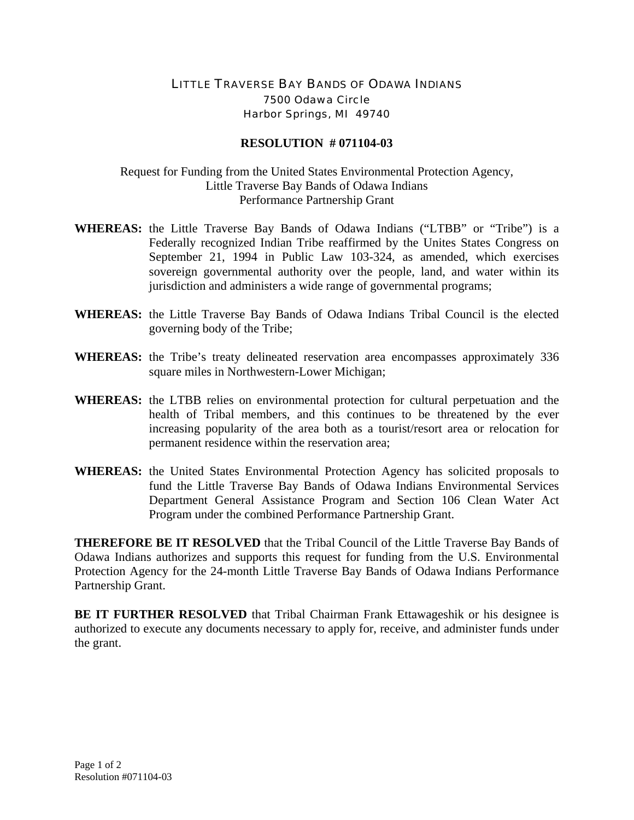## LITTLE TRAVERSE BAY BANDS OF ODAWA INDIANS 7500 Odawa Circle Harbor Springs, MI 49740

## **RESOLUTION # 071104-03**

Request for Funding from the United States Environmental Protection Agency, Little Traverse Bay Bands of Odawa Indians Performance Partnership Grant

- **WHEREAS:** the Little Traverse Bay Bands of Odawa Indians ("LTBB" or "Tribe") is a Federally recognized Indian Tribe reaffirmed by the Unites States Congress on September 21, 1994 in Public Law 103-324, as amended, which exercises sovereign governmental authority over the people, land, and water within its jurisdiction and administers a wide range of governmental programs;
- **WHEREAS:** the Little Traverse Bay Bands of Odawa Indians Tribal Council is the elected governing body of the Tribe;
- **WHEREAS:** the Tribe's treaty delineated reservation area encompasses approximately 336 square miles in Northwestern-Lower Michigan;
- **WHEREAS:** the LTBB relies on environmental protection for cultural perpetuation and the health of Tribal members, and this continues to be threatened by the ever increasing popularity of the area both as a tourist/resort area or relocation for permanent residence within the reservation area;
- **WHEREAS:** the United States Environmental Protection Agency has solicited proposals to fund the Little Traverse Bay Bands of Odawa Indians Environmental Services Department General Assistance Program and Section 106 Clean Water Act Program under the combined Performance Partnership Grant.

**THEREFORE BE IT RESOLVED** that the Tribal Council of the Little Traverse Bay Bands of Odawa Indians authorizes and supports this request for funding from the U.S. Environmental Protection Agency for the 24-month Little Traverse Bay Bands of Odawa Indians Performance Partnership Grant.

**BE IT FURTHER RESOLVED** that Tribal Chairman Frank Ettawageshik or his designee is authorized to execute any documents necessary to apply for, receive, and administer funds under the grant.